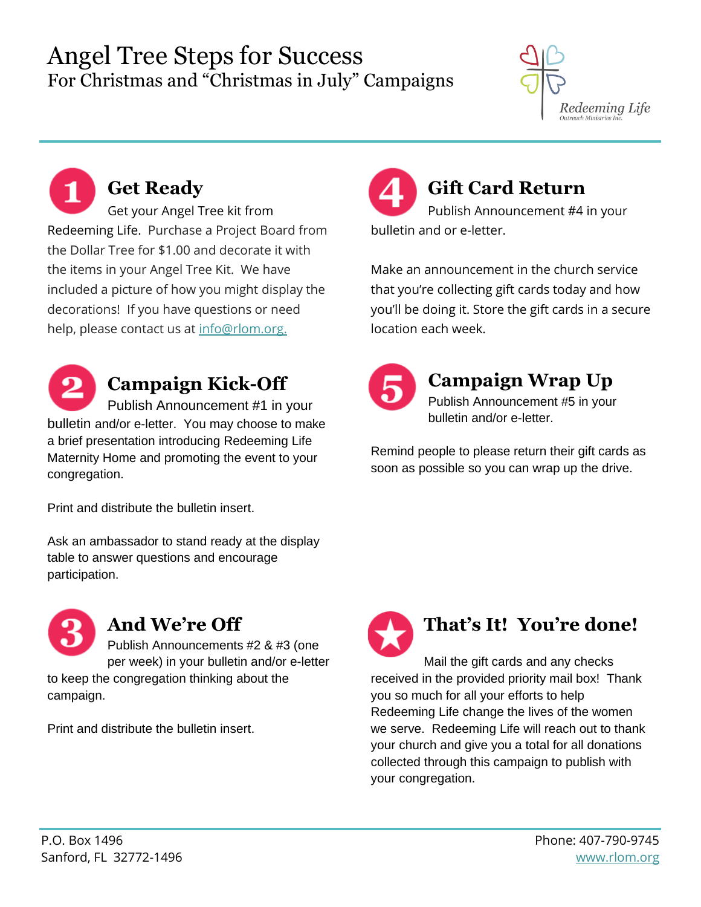## Angel Tree Steps for Success For Christmas and "Christmas in July" Campaigns



**Get Ready** Get your Angel Tree kit from Redeeming Life. Purchase a Project Board from the Dollar Tree for \$1.00 and decorate it with the items in your Angel Tree Kit. We have included a picture of how you might display the decorations! If you have questions or need help, please contact us at [info@rlom.org.](mailto:info@rlom.org?subject=Question%20about%20Angel%20Tree%20Campaign)



# **Campaign Kick-Off**

Publish Announcement #1 in your bulletin and/or e-letter. You may choose to make a brief presentation introducing Redeeming Life Maternity Home and promoting the event to your congregation.

Print and distribute the bulletin insert.

Ask an ambassador to stand ready at the display table to answer questions and encourage participation.



campaign.

## **And We're Off**

Publish Announcements #2 & #3 (one per week) in your bulletin and/or e-letter to keep the congregation thinking about the

Print and distribute the bulletin insert.

**Gift Card Return** Publish Announcement #4 in your bulletin and or e-letter.

Make an announcement in the church service that you're collecting gift cards today and how you'll be doing it. Store the gift cards in a secure location each week.



### **Campaign Wrap Up**

Publish Announcement #5 in your bulletin and/or e-letter.

Remind people to please return their gift cards as soon as possible so you can wrap up the drive.



# **That's It! You're done!**

Mail the gift cards and any checks received in the provided priority mail box! Thank you so much for all your efforts to help Redeeming Life change the lives of the women we serve. Redeeming Life will reach out to thank your church and give you a total for all donations collected through this campaign to publish with your congregation.